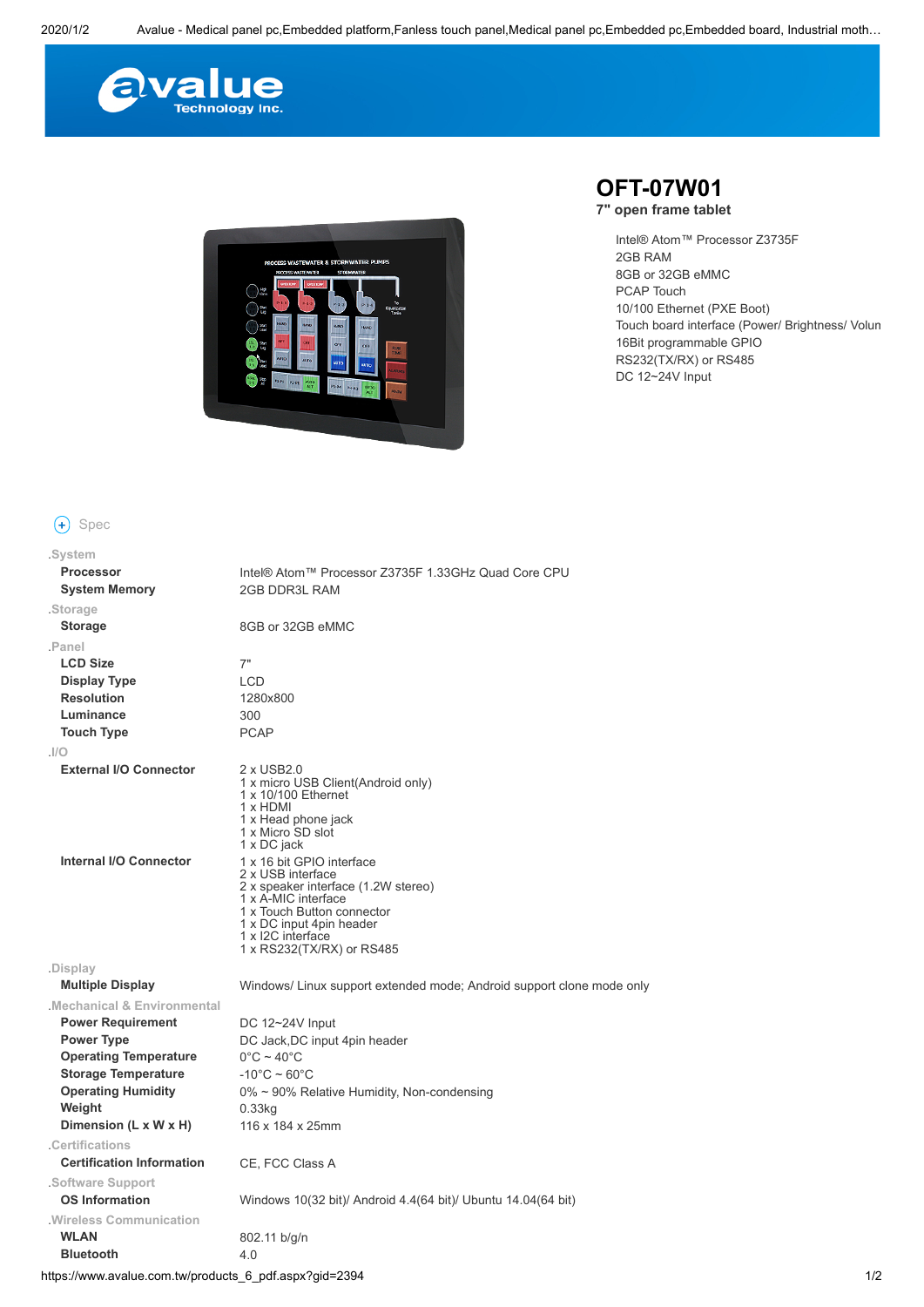



## **+** Spec

| .System                          |                                                                                                                                                                                                                          |
|----------------------------------|--------------------------------------------------------------------------------------------------------------------------------------------------------------------------------------------------------------------------|
| <b>Processor</b>                 | Intel® Atom™ Processor Z3735F 1.33GHz Quad Core CPU                                                                                                                                                                      |
| <b>System Memory</b>             | <b>2GB DDR3L RAM</b>                                                                                                                                                                                                     |
| .Storage                         |                                                                                                                                                                                                                          |
| <b>Storage</b>                   | 8GB or 32GB eMMC                                                                                                                                                                                                         |
| .Panel                           |                                                                                                                                                                                                                          |
| <b>LCD Size</b>                  | 7"                                                                                                                                                                                                                       |
| Display Type                     | <b>LCD</b>                                                                                                                                                                                                               |
| <b>Resolution</b>                | 1280x800                                                                                                                                                                                                                 |
| Luminance                        | 300                                                                                                                                                                                                                      |
| <b>Touch Type</b>                | <b>PCAP</b>                                                                                                                                                                                                              |
| I/O                              |                                                                                                                                                                                                                          |
| <b>External I/O Connector</b>    | 2 x USB2.0<br>1 x micro USB Client(Android only)<br>1 x 10/100 Ethernet<br>1 x HDMI<br>1 x Head phone jack<br>1 x Micro SD slot<br>1 x DC jack                                                                           |
| Internal I/O Connector           | 1 x 16 bit GPIO interface<br>2 x USB interface<br>2 x speaker interface (1.2W stereo)<br>1 x A-MIC interface<br>1 x Touch Button connector<br>1 x DC input 4pin header<br>1 x I2C interface<br>1 x RS232(TX/RX) or RS485 |
| .Display                         |                                                                                                                                                                                                                          |
| <b>Multiple Display</b>          | Windows/Linux support extended mode; Android support clone mode only                                                                                                                                                     |
| Mechanical & Environmental       |                                                                                                                                                                                                                          |
| <b>Power Requirement</b>         | DC 12~24V Input                                                                                                                                                                                                          |
| <b>Power Type</b>                | DC Jack, DC input 4pin header                                                                                                                                                                                            |
| <b>Operating Temperature</b>     | $0^{\circ}$ C ~ 40 $^{\circ}$ C                                                                                                                                                                                          |
| <b>Storage Temperature</b>       | $-10^{\circ}$ C ~ 60 $^{\circ}$ C                                                                                                                                                                                        |
| <b>Operating Humidity</b>        | 0% ~ 90% Relative Humidity, Non-condensing                                                                                                                                                                               |
| Weight                           | $0.33$ kg                                                                                                                                                                                                                |
| Dimension (L x W x H)            | 116 x 184 x 25mm                                                                                                                                                                                                         |
| .Certifications                  |                                                                                                                                                                                                                          |
| <b>Certification Information</b> | CE, FCC Class A                                                                                                                                                                                                          |
| Software Support                 |                                                                                                                                                                                                                          |
| <b>OS Information</b>            | Windows 10(32 bit)/ Android 4.4(64 bit)/ Ubuntu 14.04(64 bit)                                                                                                                                                            |
| Wireless Communication           |                                                                                                                                                                                                                          |
| <b>WLAN</b>                      | 802.11 b/g/n                                                                                                                                                                                                             |
| <b>Bluetooth</b>                 | 4.0                                                                                                                                                                                                                      |

## **OFT-07W01**

**7" open frame tablet**

Intel® Atom™ Processor Z3735F 2GB RAM 8GB or 32GB eMMC PCAP Touch 10/100 Ethernet (PXE Boot) Touch board interface (Power/ Brightness/ Volum 16Bit programmable GPIO RS232(TX/RX) or RS485 DC 12~24V Input